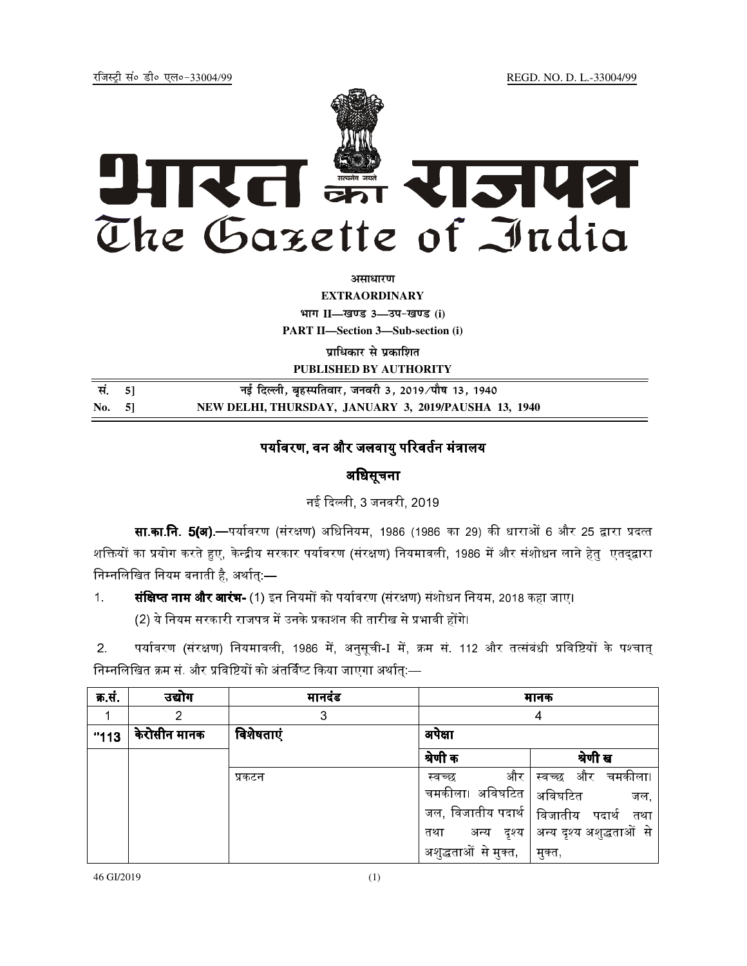jftLVªh laö Mhö ,yö&33004@99 REGD. NO. D. L.-33004/99



*<u>ature</u>lian* 

**EXTRAORDINARY Hkkx II—[k.M 3—mi&[k.M (i) PART II—Section 3—Sub-section (i)** 

**प्राधिकार से प्रकाशित PUBLISHED BY AUTHORITY**

| सं. 51 | नई दिल्ली, बृहस्पतिवार, जनवरी 3, 2019 ∕पौष 13, 1940  |
|--------|------------------------------------------------------|
| No. 51 | NEW DELHI, THURSDAY, JANUARY 3, 2019/PAUSHA 13, 1940 |

## पर्यावरण. वन और जलवाय परिवर्तन मंत्रालय

# अिधसूचना

नई दिल्ली. 3 जनवरी. 2019

**सा.का.नि. 5(अ).—**पर्यावरण (संरक्षण) अधिनियम. 1986 (1986 का 29) की धाराओं 6 और 25 द्वारा प्रदत्त शक्तियों का प्रयोग करते हुए, केन्द्रीय सरकार पर्यावरण (संरक्षण) नियमावली, 1986 में और संशोधन लाने हेतु एतद्द्वारा निम्नलिखित नियम बनाती है, अर्थात्:—

1. **संक्षिप्त नाम और आरंभ-** (1) इन नियमों को पर्यावरण (संरक्षण) संशोधन नियम. 2018 कहा जाए। (2) ये नियम सरकारी राजपत्र में उनके प्रकाशन की तारीख से प्रभावी होंगे।

2. पर्यावरण (संरक्षण) नियमावली, 1986 में, अनुसूची-I में, क्रम सं. 112 और तत्संबंधी प्रविष्टियों के पश्चात् निम्नलिखित क्रम सं. और प्रविष्टियों को अंतर्विष्ट किया जाएगा अर्थात्:—

| क्र सं | उद्योग       | मानदंड    |                      | मानक                                      |
|--------|--------------|-----------|----------------------|-------------------------------------------|
|        |              | 3         |                      | 4                                         |
| "113"  | केरोसीन मानक | विशेषताएं | अपेक्षा              |                                           |
|        |              |           | श्रेणी क             | श्रेणी ख                                  |
|        |              | प्रकटन    | और<br>स्वच्छ         | स्वच्छ और चमकीला।                         |
|        |              |           | चमकीला। अविघटित $\,$ | अविघटित<br>जल.                            |
|        |              |           |                      | जल, विजातीय पदार्थ   विजातीय  पदार्थ  तथा |
|        |              |           | अन्य दृश्य  <br>तथा  | अन्य दृश्य अशुद्धताओं से                  |
|        |              |           | अशुद्धताओं से मुक्त, | मुक्त,                                    |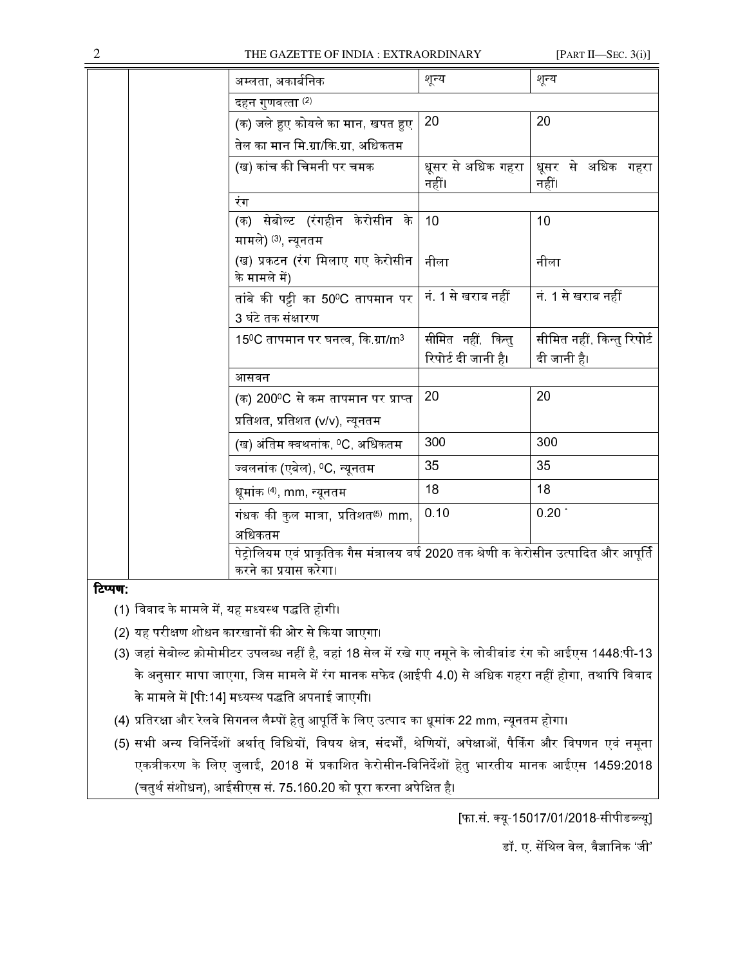#### THE GAZETTE OF INDIA : EXTRAORDINARY

[PART II-SEC.  $3(i)$ ]

|         | अम्लता, अकार्बनिक                                                                       | शून्य                             | शून्य                      |
|---------|-----------------------------------------------------------------------------------------|-----------------------------------|----------------------------|
|         | दहन गुणवत्ता (2)                                                                        |                                   |                            |
|         | (क) जले हुए कोयले का मान, खपत हुए                                                       | 20                                | 20                         |
|         | तेल का मान मि.ग्रा/कि.ग्रा, अधिकतम                                                      |                                   |                            |
|         | (ख) कांच की चिमनी पर चमक                                                                | धूसर से अधिक गहरा $\mid$<br>नहीं। | धूसर से अधिक गहरा<br>नहीं। |
|         | रंग                                                                                     |                                   |                            |
|         | (क) सेबोल्ट (रंगहीन केरोसीन के                                                          | 10                                | 10                         |
|         | मामले) (3), न्यूनतम                                                                     |                                   |                            |
|         | (ख) प्रकटन (रंग मिलाए गए केरोसीन<br>के मामले में)                                       | नीला                              | नीला                       |
|         | तांबे की पट्टी का 50ºC तापमान पर                                                        | नं. 1 से खराब नहीं                | नं. 1 से खराब नहीं         |
|         | 3 घंटे तक संक्षारण                                                                      |                                   |                            |
|         | $15^{\circ}$ C तापमान पर घनत्व, कि ग्रा/m $^3$                                          | सीमित नहीं, किन्तु                | सीमित नहीं, किन्तु रिपोर्ट |
|         |                                                                                         | रिपोर्ट दी जानी है।               | दी जानी है।                |
|         | आसवन                                                                                    |                                   |                            |
|         | (क) 200ºC से कम तापमान पर प्राप्त                                                       | 20                                | 20                         |
|         | प्रतिशत, प्रतिशत (v/v), न्यूनतम                                                         |                                   |                            |
|         | (ख) अंतिम क्वथनांक, ºC, अधिकतम                                                          | 300                               | 300                        |
|         | ज्वलनांक (एबेल), <sup>0</sup> C, न्यूनतम                                                | 35                                | 35                         |
|         | धूमांक <sup>(4)</sup> , mm, न्यूनतम                                                     | 18                                | 18                         |
|         | गंधक की कुल मात्रा, प्रतिशत <sup>(5)</sup> mm,                                          | 0.10                              | $0.20$ $*$                 |
|         | अधिकतम                                                                                  |                                   |                            |
|         | पेट्रोलियम एवं प्राकृतिक गैस मंत्रालय वर्ष 2020 तक श्रेणी क केरोसीन उत्पादित और आपूर्ति |                                   |                            |
|         | करने का प्रयास करेगा।                                                                   |                                   |                            |
| टिप्पण: |                                                                                         |                                   |                            |

- (1) विवाद के मामले में, यह मध्यस्थ पद्धति होगी।
- (2) यह परीक्षण शोधन कारखानों की ओर से किया जाएगा।
- (3) जहां सेबोल्ट क्रोमोमीटर उपलब्ध नहीं है, वहां 18 सेल में रखे गए नमूने के लोवीबांड रंग को आईएस 1448:पी-13 के अनुसार मापा जाएगा, जिस मामले में रंग मानक सफेद (आईपी 4.0) से अधिक गहरा नहीं होगा, तथापि विवाद के मामले में [पी:14] मध्यस्थ पद्धति अपनाई जाएगी।
- (4) प्रतिरक्षा और रेलवे सिगनल लैम्पों हेतु आपूर्ति के लिए उत्पाद का धूमांक 22 mm, न्यूनतम होगा।
- (5) सभी अन्य विनिर्देशों अर्थात् विधियों, विषय क्षेत्र, संदर्भों, श्रेणियों, अपेक्षाओं, पैकिंग और विपणन एवं नमूना एकत्रीकरण के लिए जुलाई, 2018 में प्रकाशित केरोसीन-विनिर्देशों हेतु भारतीय मानक आईएस 1459:2018 (चतुर्थ संशोधन), आईसीएस सं. 75.160.20 को पूरा करना अपेक्षित है।

[फा.सं. क्यू-15017/01/2018-सीपीडब्ल्यू]

डॉ. ए. सेंथिल वेल, वैज्ञानिक 'जी'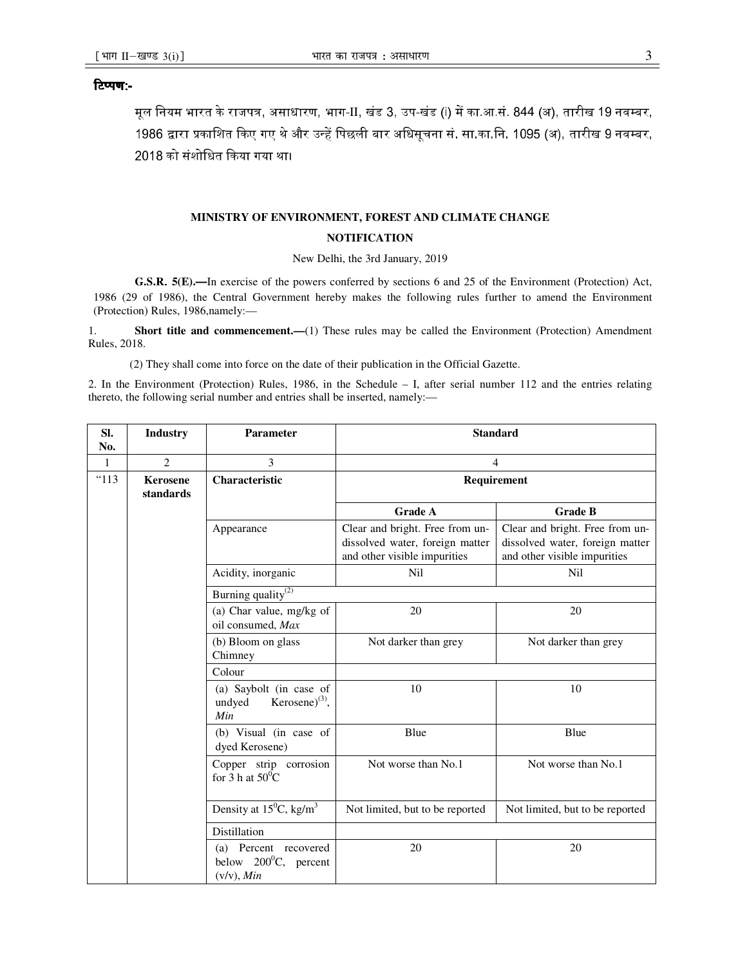### टिप्पण:-

मूल नियम भारत के राजपत्र, असाधारण, भाग-II, खंड 3, उप-खंड (i) में का आ.सं. 844 (अ), तारीख 19 नवम्बर, 1986 द्वारा प्रकाशित किए गए थे और उन्हें पिछली बार अधिसूचना सं. सा.का.नि. 1095 (अ), तारीख 9 नवम्बर, 2018 को संशोधित किया गया था।

### **MINISTRY OF ENVIRONMENT, FOREST AND CLIMATE CHANGE NOTIFICATION**

New Delhi, the 3rd January, 2019

**G.S.R**. **5(E).—**In exercise of the powers conferred by sections 6 and 25 of the Environment (Protection) Act, 1986 (29 of 1986), the Central Government hereby makes the following rules further to amend the Environment (Protection) Rules, 1986,namely:—

1. **Short title and commencement.—**(1) These rules may be called the Environment (Protection) Amendment Rules, 2018.

(2) They shall come into force on the date of their publication in the Official Gazette.

2. In the Environment (Protection) Rules, 1986, in the Schedule – I, after serial number 112 and the entries relating thereto, the following serial number and entries shall be inserted, namely:—

| SI.<br>No.   | <b>Industry</b>              | <b>Parameter</b>                                                      | <b>Standard</b>                                                                                    |                                                                                                    |
|--------------|------------------------------|-----------------------------------------------------------------------|----------------------------------------------------------------------------------------------------|----------------------------------------------------------------------------------------------------|
| $\mathbf{1}$ | 2                            | 3                                                                     | $\overline{4}$                                                                                     |                                                                                                    |
| "113         | <b>Kerosene</b><br>standards | Characteristic                                                        | Requirement                                                                                        |                                                                                                    |
|              |                              |                                                                       | <b>Grade A</b>                                                                                     | <b>Grade B</b>                                                                                     |
|              |                              | Appearance                                                            | Clear and bright. Free from un-<br>dissolved water, foreign matter<br>and other visible impurities | Clear and bright. Free from un-<br>dissolved water, foreign matter<br>and other visible impurities |
|              |                              | Acidity, inorganic                                                    | Nil                                                                                                | <b>Nil</b>                                                                                         |
|              |                              | Burning quality <sup>(2)</sup>                                        |                                                                                                    |                                                                                                    |
|              |                              | (a) Char value, mg/kg of<br>oil consumed, Max                         | 20                                                                                                 | 20                                                                                                 |
|              |                              | (b) Bloom on glass<br>Chimney                                         | Not darker than grey                                                                               | Not darker than grey                                                                               |
|              |                              | Colour                                                                |                                                                                                    |                                                                                                    |
|              |                              | (a) Saybolt (in case of<br>Kerosene $)^{(3)}$ ,<br>undyed<br>Min      | 10                                                                                                 | 10                                                                                                 |
|              |                              | (b) Visual (in case of<br>dyed Kerosene)                              | Blue                                                                                               | Blue                                                                                               |
|              |                              | Copper strip corrosion<br>for $3 h$ at $50^{\circ}$ C                 | Not worse than No.1                                                                                | Not worse than No.1                                                                                |
|              |                              | Density at $15^{\circ}$ C, kg/m <sup>3</sup>                          | Not limited, but to be reported                                                                    | Not limited, but to be reported                                                                    |
|              |                              | Distillation                                                          |                                                                                                    |                                                                                                    |
|              |                              | (a) Percent recovered<br>below $200^{\circ}$ C, percent<br>(v/v), Min | 20                                                                                                 | 20                                                                                                 |